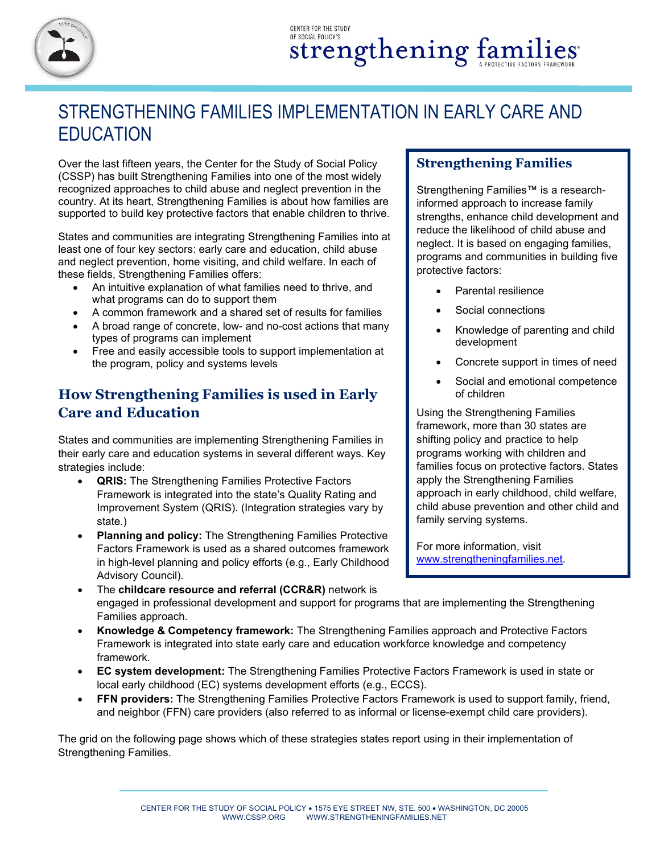

## STRENGTHENING FAMILIES IMPLEMENTATION IN EARLY CARE AND **EDUCATION**

Over the last fifteen years, the Center for the Study of Social Policy (CSSP) has built Strengthening Families into one of the most widely recognized approaches to child abuse and neglect prevention in the country. At its heart, Strengthening Families is about how families are supported to build key protective factors that enable children to thrive.

States and communities are integrating Strengthening Families into at least one of four key sectors: early care and education, child abuse and neglect prevention, home visiting, and child welfare. In each of these fields, Strengthening Families offers:

- An intuitive explanation of what families need to thrive, and what programs can do to support them
- A common framework and a shared set of results for families
- A broad range of concrete, low- and no-cost actions that many types of programs can implement
- Free and easily accessible tools to support implementation at the program, policy and systems levels

## **How Strengthening Families is used in Early Care and Education**

States and communities are implementing Strengthening Families in their early care and education systems in several different ways. Key strategies include:

- **QRIS:** The Strengthening Families Protective Factors Framework is integrated into the state's Quality Rating and Improvement System (QRIS). (Integration strategies vary by state.)
- **Planning and policy:** The Strengthening Families Protective Factors Framework is used as a shared outcomes framework in high-level planning and policy efforts (e.g., Early Childhood Advisory Council).
- The **childcare resource and referral (CCR&R)** network is engaged in professional development and support for programs that are implementing the Strengthening Families approach.
- **Knowledge & Competency framework:** The Strengthening Families approach and Protective Factors Framework is integrated into state early care and education workforce knowledge and competency framework.
- **EC system development:** The Strengthening Families Protective Factors Framework is used in state or local early childhood (EC) systems development efforts (e.g., ECCS).
- **FFN providers:** The Strengthening Families Protective Factors Framework is used to support family, friend, and neighbor (FFN) care providers (also referred to as informal or license-exempt child care providers).

The grid on the following page shows which of these strategies states report using in their implementation of Strengthening Families.

## **Strengthening Families**

Strengthening Families™ is a researchinformed approach to increase family strengths, enhance child development and reduce the likelihood of child abuse and neglect. It is based on engaging families, programs and communities in building five protective factors:

- Parental resilience
- Social connections
- Knowledge of parenting and child development
- Concrete support in times of need
- Social and emotional competence of children

Using the Strengthening Families framework, more than 30 states are shifting policy and practice to help programs working with children and families focus on protective factors. States apply the Strengthening Families approach in early childhood, child welfare, child abuse prevention and other child and family serving systems.

For more information, visit [www.strengtheningfamilies.net.](http://www.strengtheningfamilies.net/)